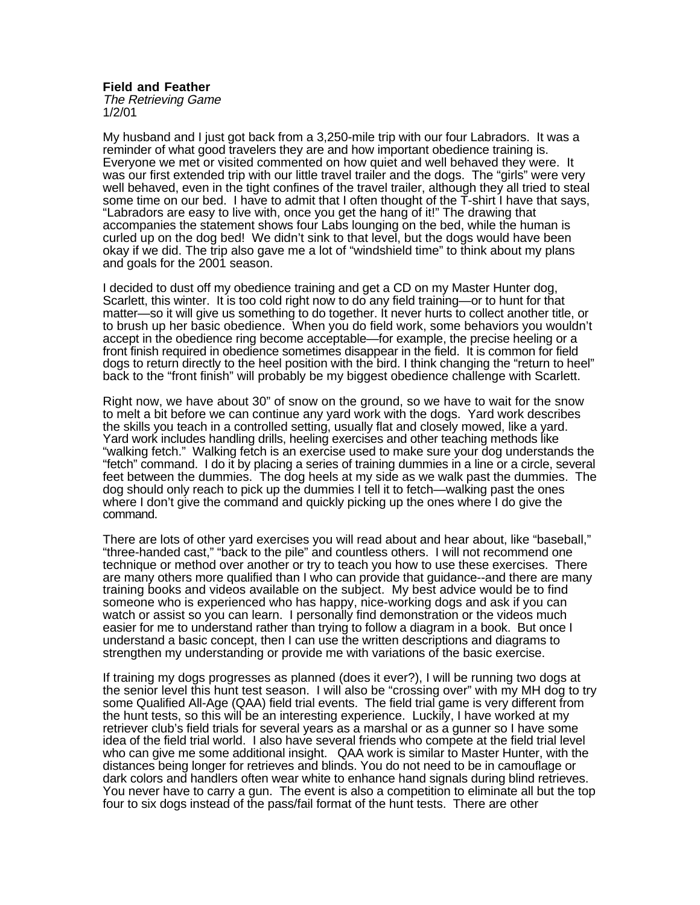**Field and Feather** The Retrieving Game

1/2/01

My husband and I just got back from a 3,250-mile trip with our four Labradors. It was a reminder of what good travelers they are and how important obedience training is. Everyone we met or visited commented on how quiet and well behaved they were. It was our first extended trip with our little travel trailer and the dogs. The "girls" were very well behaved, even in the tight confines of the travel trailer, although they all tried to steal some time on our bed. I have to admit that I often thought of the T-shirt I have that says, "Labradors are easy to live with, once you get the hang of it!" The drawing that accompanies the statement shows four Labs lounging on the bed, while the human is curled up on the dog bed! We didn't sink to that level, but the dogs would have been okay if we did. The trip also gave me a lot of "windshield time" to think about my plans and goals for the 2001 season.

I decided to dust off my obedience training and get a CD on my Master Hunter dog, Scarlett, this winter. It is too cold right now to do any field training—or to hunt for that matter—so it will give us something to do together. It never hurts to collect another title, or to brush up her basic obedience. When you do field work, some behaviors you wouldn't accept in the obedience ring become acceptable—for example, the precise heeling or a front finish required in obedience sometimes disappear in the field. It is common for field dogs to return directly to the heel position with the bird. I think changing the "return to heel" back to the "front finish" will probably be my biggest obedience challenge with Scarlett.

Right now, we have about 30" of snow on the ground, so we have to wait for the snow to melt a bit before we can continue any yard work with the dogs. Yard work describes the skills you teach in a controlled setting, usually flat and closely mowed, like a yard. Yard work includes handling drills, heeling exercises and other teaching methods like "walking fetch." Walking fetch is an exercise used to make sure your dog understands the "fetch" command. I do it by placing a series of training dummies in a line or a circle, several feet between the dummies. The dog heels at my side as we walk past the dummies. The dog should only reach to pick up the dummies I tell it to fetch—walking past the ones where I don't give the command and quickly picking up the ones where I do give the command.

There are lots of other yard exercises you will read about and hear about, like "baseball," "three-handed cast," "back to the pile" and countless others. I will not recommend one technique or method over another or try to teach you how to use these exercises. There are many others more qualified than I who can provide that guidance--and there are many training books and videos available on the subject. My best advice would be to find someone who is experienced who has happy, nice-working dogs and ask if you can watch or assist so you can learn. I personally find demonstration or the videos much easier for me to understand rather than trying to follow a diagram in a book. But once I understand a basic concept, then I can use the written descriptions and diagrams to strengthen my understanding or provide me with variations of the basic exercise.

If training my dogs progresses as planned (does it ever?), I will be running two dogs at the senior level this hunt test season. I will also be "crossing over" with my MH dog to try some Qualified All-Age (QAA) field trial events. The field trial game is very different from the hunt tests, so this will be an interesting experience. Luckily, I have worked at my retriever club's field trials for several years as a marshal or as a gunner so I have some idea of the field trial world. I also have several friends who compete at the field trial level who can give me some additional insight. QAA work is similar to Master Hunter, with the distances being longer for retrieves and blinds. You do not need to be in camouflage or dark colors and handlers often wear white to enhance hand signals during blind retrieves. You never have to carry a gun. The event is also a competition to eliminate all but the top four to six dogs instead of the pass/fail format of the hunt tests. There are other